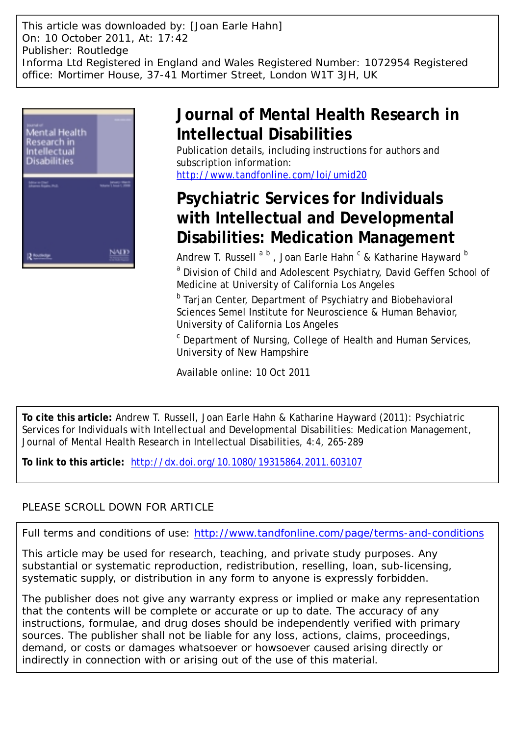This article was downloaded by: [Joan Earle Hahn] On: 10 October 2011, At: 17:42 Publisher: Routledge Informa Ltd Registered in England and Wales Registered Number: 1072954 Registered office: Mortimer House, 37-41 Mortimer Street, London W1T 3JH, UK



# **Journal of Mental Health Research in Intellectual Disabilities**

Publication details, including instructions for authors and subscription information: <http://www.tandfonline.com/loi/umid20>

# **Psychiatric Services for Individuals with Intellectual and Developmental Disabilities: Medication Management**

Andrew T. Russell <sup>a b</sup>, Joan Earle Hahn <sup>c</sup> & Katharine Hayward <sup>b</sup> <sup>a</sup> Division of Child and Adolescent Psychiatry, David Geffen School of Medicine at University of California Los Angeles

**b Tarjan Center, Department of Psychiatry and Biobehavioral** Sciences Semel Institute for Neuroscience & Human Behavior, University of California Los Angeles

<sup>c</sup> Department of Nursing, College of Health and Human Services, University of New Hampshire

Available online: 10 Oct 2011

**To cite this article:** Andrew T. Russell, Joan Earle Hahn & Katharine Hayward (2011): Psychiatric Services for Individuals with Intellectual and Developmental Disabilities: Medication Management, Journal of Mental Health Research in Intellectual Disabilities, 4:4, 265-289

**To link to this article:** <http://dx.doi.org/10.1080/19315864.2011.603107>

### PLEASE SCROLL DOWN FOR ARTICLE

Full terms and conditions of use:<http://www.tandfonline.com/page/terms-and-conditions>

This article may be used for research, teaching, and private study purposes. Any substantial or systematic reproduction, redistribution, reselling, loan, sub-licensing, systematic supply, or distribution in any form to anyone is expressly forbidden.

The publisher does not give any warranty express or implied or make any representation that the contents will be complete or accurate or up to date. The accuracy of any instructions, formulae, and drug doses should be independently verified with primary sources. The publisher shall not be liable for any loss, actions, claims, proceedings, demand, or costs or damages whatsoever or howsoever caused arising directly or indirectly in connection with or arising out of the use of this material.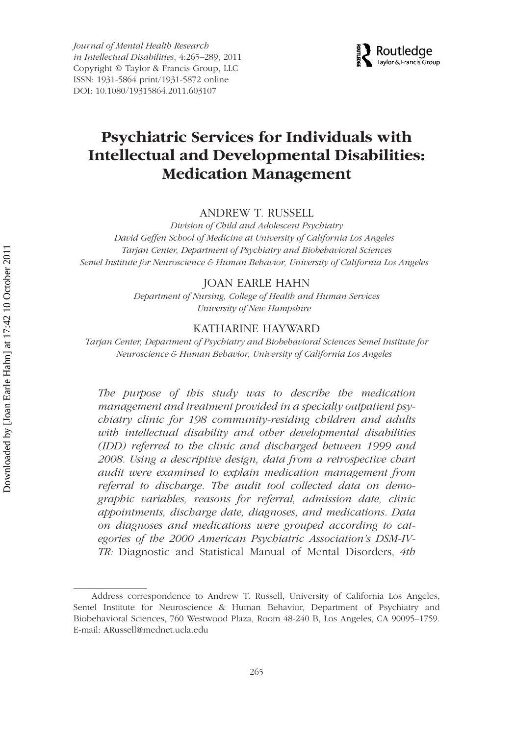*Journal of Mental Health Research in Intellectual Disabilities*, 4:265–289, 2011 Copyright © Taylor & Francis Group, LLC ISSN: 1931-5864 print/1931-5872 online DOI: 10.1080/19315864.2011.603107



## **Psychiatric Services for Individuals with Intellectual and Developmental Disabilities: Medication Management**

ANDREW T. RUSSELL

*Division of Child and Adolescent Psychiatry David Geffen School of Medicine at University of California Los Angeles Tarjan Center, Department of Psychiatry and Biobehavioral Sciences Semel Institute for Neuroscience & Human Behavior, University of California Los Angeles*

#### JOAN EARLE HAHN

*Department of Nursing, College of Health and Human Services University of New Hampshire*

#### KATHARINE HAYWARD

*Tarjan Center, Department of Psychiatry and Biobehavioral Sciences Semel Institute for Neuroscience & Human Behavior, University of California Los Angeles*

*The purpose of this study was to describe the medication management and treatment provided in a specialty outpatient psychiatry clinic for 198 community-residing children and adults with intellectual disability and other developmental disabilities (IDD) referred to the clinic and discharged between 1999 and 2008. Using a descriptive design, data from a retrospective chart audit were examined to explain medication management from referral to discharge. The audit tool collected data on demographic variables, reasons for referral, admission date, clinic appointments, discharge date, diagnoses, and medications. Data on diagnoses and medications were grouped according to categories of the 2000 American Psychiatric Association's DSM-IV-TR:* Diagnostic and Statistical Manual of Mental Disorders, *4th*

Address correspondence to Andrew T. Russell, University of California Los Angeles, Semel Institute for Neuroscience & Human Behavior, Department of Psychiatry and Biobehavioral Sciences, 760 Westwood Plaza, Room 48-240 B, Los Angeles, CA 90095–1759. E-mail: ARussell@mednet.ucla.edu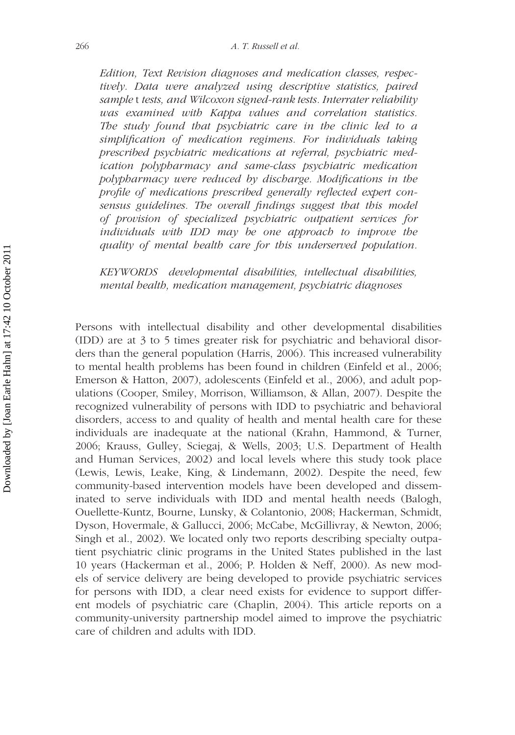*Edition, Text Revision diagnoses and medication classes, respectively. Data were analyzed using descriptive statistics, paired sample* t *tests, and Wilcoxon signed-rank tests. Interrater reliability was examined with Kappa values and correlation statistics. The study found that psychiatric care in the clinic led to a simplification of medication regimens. For individuals taking prescribed psychiatric medications at referral, psychiatric medication polypharmacy and same-class psychiatric medication polypharmacy were reduced by discharge. Modifications in the profile of medications prescribed generally reflected expert consensus guidelines. The overall findings suggest that this model of provision of specialized psychiatric outpatient services for individuals with IDD may be one approach to improve the quality of mental health care for this underserved population.*

*KEYWORDS developmental disabilities, intellectual disabilities, mental health, medication management, psychiatric diagnoses*

Persons with intellectual disability and other developmental disabilities (IDD) are at 3 to 5 times greater risk for psychiatric and behavioral disorders than the general population (Harris, 2006). This increased vulnerability to mental health problems has been found in children (Einfeld et al., 2006; Emerson & Hatton, 2007), adolescents (Einfeld et al., 2006), and adult populations (Cooper, Smiley, Morrison, Williamson, & Allan, 2007). Despite the recognized vulnerability of persons with IDD to psychiatric and behavioral disorders, access to and quality of health and mental health care for these individuals are inadequate at the national (Krahn, Hammond, & Turner, 2006; Krauss, Gulley, Sciegaj, & Wells, 2003; U.S. Department of Health and Human Services, 2002) and local levels where this study took place (Lewis, Lewis, Leake, King, & Lindemann, 2002). Despite the need, few community-based intervention models have been developed and disseminated to serve individuals with IDD and mental health needs (Balogh, Ouellette-Kuntz, Bourne, Lunsky, & Colantonio, 2008; Hackerman, Schmidt, Dyson, Hovermale, & Gallucci, 2006; McCabe, McGillivray, & Newton, 2006; Singh et al., 2002). We located only two reports describing specialty outpatient psychiatric clinic programs in the United States published in the last 10 years (Hackerman et al., 2006; P. Holden & Neff, 2000). As new models of service delivery are being developed to provide psychiatric services for persons with IDD, a clear need exists for evidence to support different models of psychiatric care (Chaplin, 2004). This article reports on a community-university partnership model aimed to improve the psychiatric care of children and adults with IDD.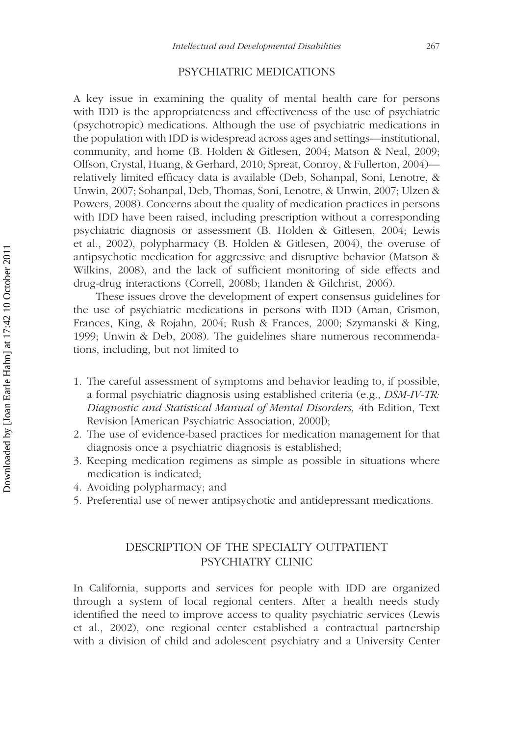#### PSYCHIATRIC MEDICATIONS

A key issue in examining the quality of mental health care for persons with IDD is the appropriateness and effectiveness of the use of psychiatric (psychotropic) medications. Although the use of psychiatric medications in the population with IDD is widespread across ages and settings—institutional, community, and home (B. Holden & Gitlesen, 2004; Matson & Neal, 2009; Olfson, Crystal, Huang, & Gerhard, 2010; Spreat, Conroy, & Fullerton, 2004) relatively limited efficacy data is available (Deb, Sohanpal, Soni, Lenotre, & Unwin, 2007; Sohanpal, Deb, Thomas, Soni, Lenotre, & Unwin, 2007; Ulzen & Powers, 2008). Concerns about the quality of medication practices in persons with IDD have been raised, including prescription without a corresponding psychiatric diagnosis or assessment (B. Holden & Gitlesen, 2004; Lewis et al., 2002), polypharmacy (B. Holden & Gitlesen, 2004), the overuse of antipsychotic medication for aggressive and disruptive behavior (Matson & Wilkins, 2008), and the lack of sufficient monitoring of side effects and drug-drug interactions (Correll, 2008b; Handen & Gilchrist, 2006).

These issues drove the development of expert consensus guidelines for the use of psychiatric medications in persons with IDD (Aman, Crismon, Frances, King, & Rojahn, 2004; Rush & Frances, 2000; Szymanski & King, 1999; Unwin & Deb, 2008). The guidelines share numerous recommendations, including, but not limited to

- 1. The careful assessment of symptoms and behavior leading to, if possible, a formal psychiatric diagnosis using established criteria (e.g., *DSM-IV-TR: Diagnostic and Statistical Manual of Mental Disorders,* 4th Edition, Text Revision [American Psychiatric Association, 2000]);
- 2. The use of evidence-based practices for medication management for that diagnosis once a psychiatric diagnosis is established;
- 3. Keeping medication regimens as simple as possible in situations where medication is indicated;
- 4. Avoiding polypharmacy; and
- 5. Preferential use of newer antipsychotic and antidepressant medications.

### DESCRIPTION OF THE SPECIALTY OUTPATIENT PSYCHIATRY CLINIC

In California, supports and services for people with IDD are organized through a system of local regional centers. After a health needs study identified the need to improve access to quality psychiatric services (Lewis et al., 2002), one regional center established a contractual partnership with a division of child and adolescent psychiatry and a University Center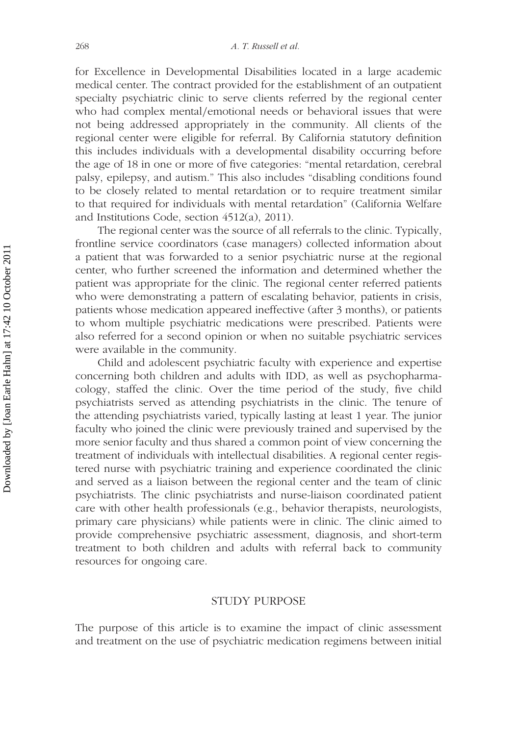for Excellence in Developmental Disabilities located in a large academic medical center. The contract provided for the establishment of an outpatient specialty psychiatric clinic to serve clients referred by the regional center who had complex mental/emotional needs or behavioral issues that were not being addressed appropriately in the community. All clients of the regional center were eligible for referral. By California statutory definition this includes individuals with a developmental disability occurring before the age of 18 in one or more of five categories: "mental retardation, cerebral palsy, epilepsy, and autism." This also includes "disabling conditions found to be closely related to mental retardation or to require treatment similar to that required for individuals with mental retardation" (California Welfare and Institutions Code, section 4512(a), 2011).

The regional center was the source of all referrals to the clinic. Typically, frontline service coordinators (case managers) collected information about a patient that was forwarded to a senior psychiatric nurse at the regional center, who further screened the information and determined whether the patient was appropriate for the clinic. The regional center referred patients who were demonstrating a pattern of escalating behavior, patients in crisis, patients whose medication appeared ineffective (after 3 months), or patients to whom multiple psychiatric medications were prescribed. Patients were also referred for a second opinion or when no suitable psychiatric services were available in the community.

Child and adolescent psychiatric faculty with experience and expertise concerning both children and adults with IDD, as well as psychopharmacology, staffed the clinic. Over the time period of the study, five child psychiatrists served as attending psychiatrists in the clinic. The tenure of the attending psychiatrists varied, typically lasting at least 1 year. The junior faculty who joined the clinic were previously trained and supervised by the more senior faculty and thus shared a common point of view concerning the treatment of individuals with intellectual disabilities. A regional center registered nurse with psychiatric training and experience coordinated the clinic and served as a liaison between the regional center and the team of clinic psychiatrists. The clinic psychiatrists and nurse-liaison coordinated patient care with other health professionals (e.g., behavior therapists, neurologists, primary care physicians) while patients were in clinic. The clinic aimed to provide comprehensive psychiatric assessment, diagnosis, and short-term treatment to both children and adults with referral back to community resources for ongoing care.

#### STUDY PURPOSE

The purpose of this article is to examine the impact of clinic assessment and treatment on the use of psychiatric medication regimens between initial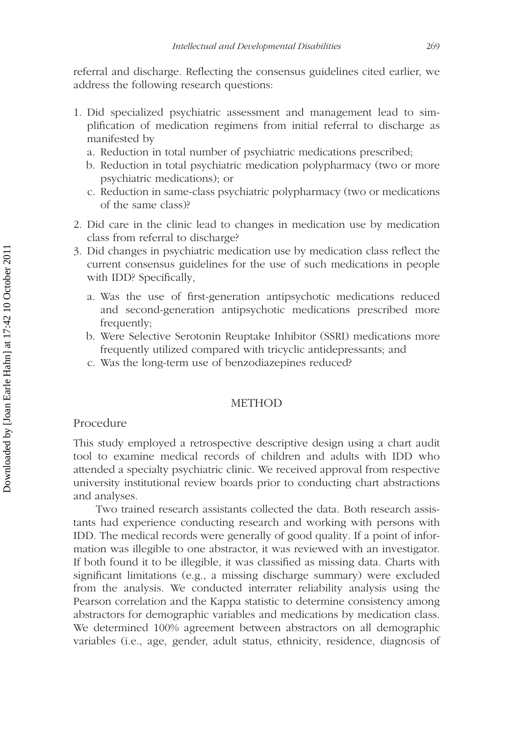referral and discharge. Reflecting the consensus guidelines cited earlier, we address the following research questions:

- 1. Did specialized psychiatric assessment and management lead to simplification of medication regimens from initial referral to discharge as manifested by
	- a. Reduction in total number of psychiatric medications prescribed;
	- b. Reduction in total psychiatric medication polypharmacy (two or more psychiatric medications); or
	- c. Reduction in same-class psychiatric polypharmacy (two or medications of the same class)?
- 2. Did care in the clinic lead to changes in medication use by medication class from referral to discharge?
- 3. Did changes in psychiatric medication use by medication class reflect the current consensus guidelines for the use of such medications in people with IDD? Specifically,
	- a. Was the use of first-generation antipsychotic medications reduced and second-generation antipsychotic medications prescribed more frequently;
	- b. Were Selective Serotonin Reuptake Inhibitor (SSRI) medications more frequently utilized compared with tricyclic antidepressants; and
	- c. Was the long-term use of benzodiazepines reduced?

#### **METHOD**

#### Procedure

This study employed a retrospective descriptive design using a chart audit tool to examine medical records of children and adults with IDD who attended a specialty psychiatric clinic. We received approval from respective university institutional review boards prior to conducting chart abstractions and analyses.

Two trained research assistants collected the data. Both research assistants had experience conducting research and working with persons with IDD. The medical records were generally of good quality. If a point of information was illegible to one abstractor, it was reviewed with an investigator. If both found it to be illegible, it was classified as missing data. Charts with significant limitations (e.g., a missing discharge summary) were excluded from the analysis. We conducted interrater reliability analysis using the Pearson correlation and the Kappa statistic to determine consistency among abstractors for demographic variables and medications by medication class. We determined 100% agreement between abstractors on all demographic variables (i.e., age, gender, adult status, ethnicity, residence, diagnosis of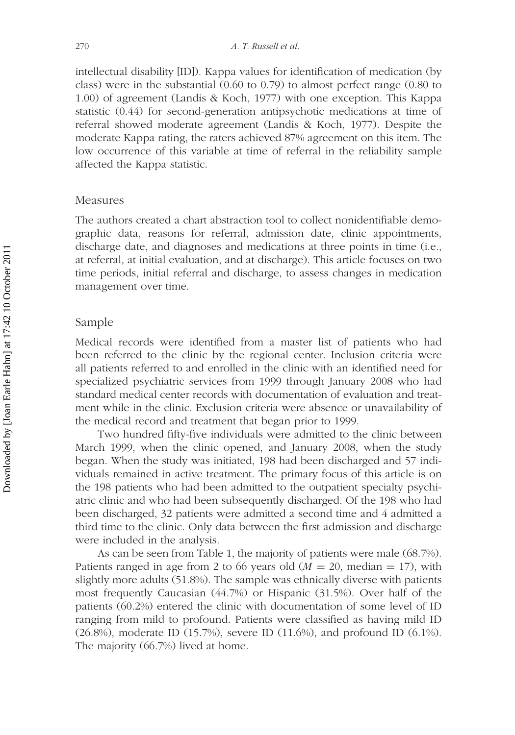intellectual disability [ID]). Kappa values for identification of medication (by class) were in the substantial (0.60 to 0.79) to almost perfect range (0.80 to 1.00) of agreement (Landis & Koch, 1977) with one exception. This Kappa statistic (0.44) for second-generation antipsychotic medications at time of referral showed moderate agreement (Landis & Koch, 1977). Despite the moderate Kappa rating, the raters achieved 87% agreement on this item. The low occurrence of this variable at time of referral in the reliability sample affected the Kappa statistic.

#### Measures

The authors created a chart abstraction tool to collect nonidentifiable demographic data, reasons for referral, admission date, clinic appointments, discharge date, and diagnoses and medications at three points in time (i.e., at referral, at initial evaluation, and at discharge). This article focuses on two time periods, initial referral and discharge, to assess changes in medication management over time.

#### Sample

Medical records were identified from a master list of patients who had been referred to the clinic by the regional center. Inclusion criteria were all patients referred to and enrolled in the clinic with an identified need for specialized psychiatric services from 1999 through January 2008 who had standard medical center records with documentation of evaluation and treatment while in the clinic. Exclusion criteria were absence or unavailability of the medical record and treatment that began prior to 1999.

Two hundred fifty-five individuals were admitted to the clinic between March 1999, when the clinic opened, and January 2008, when the study began. When the study was initiated, 198 had been discharged and 57 individuals remained in active treatment. The primary focus of this article is on the 198 patients who had been admitted to the outpatient specialty psychiatric clinic and who had been subsequently discharged. Of the 198 who had been discharged, 32 patients were admitted a second time and 4 admitted a third time to the clinic. Only data between the first admission and discharge were included in the analysis.

As can be seen from Table 1, the majority of patients were male (68.7%). Patients ranged in age from 2 to 66 years old  $(M = 20, \text{ median} = 17)$ , with slightly more adults (51.8%). The sample was ethnically diverse with patients most frequently Caucasian (44.7%) or Hispanic (31.5%). Over half of the patients (60.2%) entered the clinic with documentation of some level of ID ranging from mild to profound. Patients were classified as having mild ID (26.8%), moderate ID (15.7%), severe ID (11.6%), and profound ID (6.1%). The majority (66.7%) lived at home.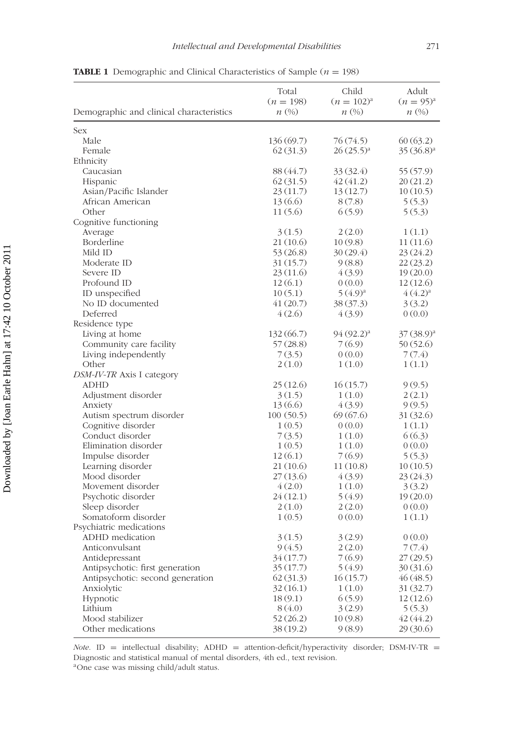|                                          | Total       | Child           | Adult          |
|------------------------------------------|-------------|-----------------|----------------|
|                                          | $(n = 198)$ | $(n = 102)^{a}$ | $(n = 95)^{a}$ |
| Demographic and clinical characteristics | $n(\%)$     | $n(\%)$         | $n \ (\%)$     |
| Sex                                      |             |                 |                |
| Male                                     | 136(69.7)   | 76 (74.5)       | 60(63.2)       |
| Female                                   | 62(31.3)    | $26(25.5)^a$    | $35(36.8)^a$   |
| Ethnicity                                |             |                 |                |
| Caucasian                                | 88 (44.7)   | 33(32.4)        | 55 (57.9)      |
| Hispanic                                 | 62(31.5)    | 42(41.2)        | 20 (21.2)      |
| Asian/Pacific Islander                   | 23(11.7)    | 13(12.7)        | 10(10.5)       |
| African American                         | 13 (6.6)    | 8(7.8)          | 5(5.3)         |
| Other                                    | 11(5.6)     | 6(5.9)          | 5(5.3)         |
| Cognitive functioning                    |             |                 |                |
| Average                                  | 3(1.5)      | 2(2.0)          | 1(1.1)         |
| Borderline                               | 21 (10.6)   | 10(9.8)         | 11(11.6)       |
| Mild ID                                  | 53 (26.8)   | 30(29.4)        | 23 (24.2)      |
| Moderate ID                              | 31(15.7)    | 9(8.8)          | 22(23.2)       |
| Severe ID                                | 23 (11.6)   | 4(3.9)          | 19(20.0)       |
| Profound ID                              | 12(6.1)     | 0(0.0)          | 12(12.6)       |
| ID unspecified                           | 10(5.1)     | $(4.9)^a$       | $4(4.2)^a$     |
| No ID documented                         | 41 (20.7)   | 38(37.3)        | 3(3.2)         |
| Deferred                                 | 4(2.6)      | 4(3.9)          | 0(0.0)         |
| Residence type                           |             |                 |                |
| Living at home                           | 132(66.7)   | $94 (92.2)^a$   | $37(38.9)^a$   |
| Community care facility                  | 57(28.8)    | 7(6.9)          | 50 (52.6)      |
| Living independently                     | 7(3.5)      | 0(0.0)          | 7(7.4)         |
| Other                                    | 2(1.0)      | 1(1.0)          | 1(1.1)         |
| DSM-IV-TR Axis I category                |             |                 |                |
| ADHD                                     | 25(12.6)    | 16(15.7)        | 9(9.5)         |
| Adjustment disorder                      | 3(1.5)      | 1(1.0)          | 2(2.1)         |
| Anxiety                                  | 13(6.6)     | 4(3.9)          | 9(9.5)         |
| Autism spectrum disorder                 | 100(50.5)   | 69(67.6)        | 31(32.6)       |
| Cognitive disorder                       | 1(0.5)      | 0(0.0)          | 1(1.1)         |
| Conduct disorder                         | 7(3.5)      | 1(1.0)          | 6(6.3)         |
| Elimination disorder                     | 1(0.5)      | 1(1.0)          | 0(0.0)         |
| Impulse disorder                         | 12(6.1)     | 7(6.9)          | 5(5.3)         |
| Learning disorder                        | 21(10.6)    | 11(10.8)        | 10(10.5)       |
| Mood disorder                            | 27 (13.6)   | 4(3.9)          | 23(24.3)       |
| Movement disorder                        | 4(2.0)      | 1(1.0)          | 3(3.2)         |
| Psychotic disorder                       | 24(12.1)    | 5(4.9)          | 19(20.0)       |
| Sleep disorder                           | 2(1.0)      | 2(2.0)          | 0(0.0)         |
| Somatoform disorder                      | 1(0.5)      | 0(0.0)          | 1(1.1)         |
| Psychiatric medications                  |             |                 |                |
| ADHD medication                          | 3(1.5)      | 3(2.9)          | 0(0.0)         |
| Anticonvulsant                           | 9(4.5)      | 2(2.0)          | 7(7.4)         |
| Antidepressant                           | 34 (17.7)   | 7(6.9)          | 27(29.5)       |
| Antipsychotic: first generation          | 35(17.7)    | 5(4.9)          | 30 (31.6)      |
| Antipsychotic: second generation         | 62(31.3)    | 16(15.7)        | 46(48.5)       |
| Anxiolytic                               | 32 (16.1)   | 1(1.0)          | 31(32.7)       |
| Hypnotic                                 | 18(9.1)     | 6(5.9)          | 12(12.6)       |
| Lithium                                  | 8(4.0)      | 3(2.9)          | 5(5.3)         |
| Mood stabilizer                          | 52 (26.2)   | 10(9.8)         | 42(44.2)       |
| Other medications                        | 38 (19.2)   | 9(8.9)          | 29(30.6)       |

**TABLE 1** Demographic and Clinical Characteristics of Sample (*n* = 198)

*Note*. ID = intellectual disability; ADHD = attention-deficit/hyperactivity disorder; DSM-IV-TR = Diagnostic and statistical manual of mental disorders, 4th ed., text revision.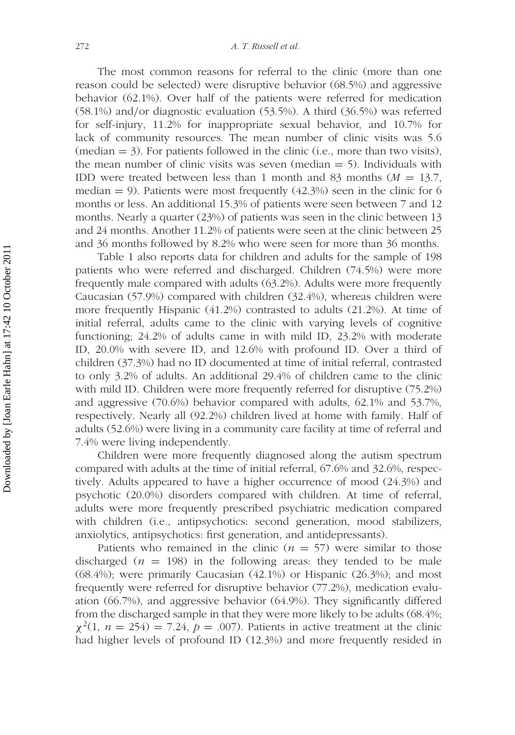The most common reasons for referral to the clinic (more than one reason could be selected) were disruptive behavior (68.5%) and aggressive behavior (62.1%). Over half of the patients were referred for medication (58.1%) and/or diagnostic evaluation (53.5%). A third (36.5%) was referred for self-injury, 11.2% for inappropriate sexual behavior, and 10.7% for lack of community resources. The mean number of clinic visits was 5.6  $(\text{median} = 3)$ . For patients followed in the clinic (i.e., more than two visits), the mean number of clinic visits was seven (median  $=$  5). Individuals with IDD were treated between less than 1 month and 83 months (*M* = 13.7, median = 9). Patients were most frequently  $(42.3\%)$  seen in the clinic for 6 months or less. An additional 15.3% of patients were seen between 7 and 12 months. Nearly a quarter (23%) of patients was seen in the clinic between 13 and 24 months. Another 11.2% of patients were seen at the clinic between 25 and 36 months followed by 8.2% who were seen for more than 36 months.

Table 1 also reports data for children and adults for the sample of 198 patients who were referred and discharged. Children (74.5%) were more frequently male compared with adults (63.2%). Adults were more frequently Caucasian (57.9%) compared with children (32.4%), whereas children were more frequently Hispanic (41.2%) contrasted to adults (21.2%). At time of initial referral, adults came to the clinic with varying levels of cognitive functioning; 24.2% of adults came in with mild ID, 23.2% with moderate ID, 20.0% with severe ID, and 12.6% with profound ID. Over a third of children (37.3%) had no ID documented at time of initial referral, contrasted to only 3.2% of adults. An additional 29.4% of children came to the clinic with mild ID. Children were more frequently referred for disruptive (75.2%) and aggressive (70.6%) behavior compared with adults, 62.1% and 53.7%, respectively. Nearly all (92.2%) children lived at home with family. Half of adults (52.6%) were living in a community care facility at time of referral and 7.4% were living independently.

Children were more frequently diagnosed along the autism spectrum compared with adults at the time of initial referral, 67.6% and 32.6%, respectively. Adults appeared to have a higher occurrence of mood (24.3%) and psychotic (20.0%) disorders compared with children. At time of referral, adults were more frequently prescribed psychiatric medication compared with children (i.e., antipsychotics: second generation, mood stabilizers, anxiolytics, antipsychotics: first generation, and antidepressants).

Patients who remained in the clinic  $(n = 57)$  were similar to those discharged  $(n = 198)$  in the following areas: they tended to be male (68.4%); were primarily Caucasian (42.1%) or Hispanic (26.3%); and most frequently were referred for disruptive behavior (77.2%), medication evaluation (66.7%), and aggressive behavior (64.9%). They significantly differed from the discharged sample in that they were more likely to be adults (68.4%;  $\chi^2(1, n = 254) = 7.24$ ,  $p = .007$ ). Patients in active treatment at the clinic had higher levels of profound ID (12.3%) and more frequently resided in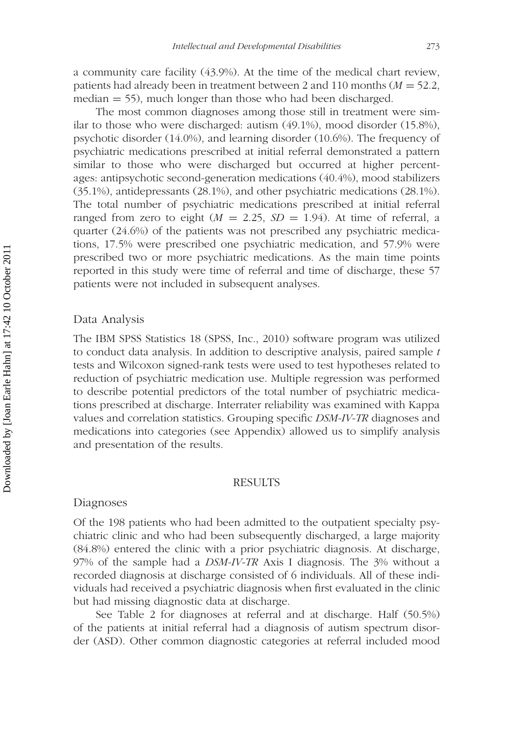a community care facility (43.9%). At the time of the medical chart review, patients had already been in treatment between 2 and 110 months  $(M = 52.2)$ ,  $median = 55$ , much longer than those who had been discharged.

The most common diagnoses among those still in treatment were similar to those who were discharged: autism (49.1%), mood disorder (15.8%), psychotic disorder (14.0%), and learning disorder (10.6%). The frequency of psychiatric medications prescribed at initial referral demonstrated a pattern similar to those who were discharged but occurred at higher percentages: antipsychotic second-generation medications (40.4%), mood stabilizers (35.1%), antidepressants (28.1%), and other psychiatric medications (28.1%). The total number of psychiatric medications prescribed at initial referral ranged from zero to eight  $(M = 2.25, SD = 1.94)$ . At time of referral, a quarter (24.6%) of the patients was not prescribed any psychiatric medications, 17.5% were prescribed one psychiatric medication, and 57.9% were prescribed two or more psychiatric medications. As the main time points reported in this study were time of referral and time of discharge, these 57 patients were not included in subsequent analyses.

#### Data Analysis

The IBM SPSS Statistics 18 (SPSS, Inc., 2010) software program was utilized to conduct data analysis. In addition to descriptive analysis, paired sample *t* tests and Wilcoxon signed-rank tests were used to test hypotheses related to reduction of psychiatric medication use. Multiple regression was performed to describe potential predictors of the total number of psychiatric medications prescribed at discharge. Interrater reliability was examined with Kappa values and correlation statistics. Grouping specific *DSM-IV-TR* diagnoses and medications into categories (see Appendix) allowed us to simplify analysis and presentation of the results.

#### RESULTS

#### Diagnoses

Of the 198 patients who had been admitted to the outpatient specialty psychiatric clinic and who had been subsequently discharged, a large majority (84.8%) entered the clinic with a prior psychiatric diagnosis. At discharge, 97% of the sample had a *DSM-IV-TR* Axis I diagnosis. The 3% without a recorded diagnosis at discharge consisted of 6 individuals. All of these individuals had received a psychiatric diagnosis when first evaluated in the clinic but had missing diagnostic data at discharge.

See Table 2 for diagnoses at referral and at discharge. Half (50.5%) of the patients at initial referral had a diagnosis of autism spectrum disorder (ASD). Other common diagnostic categories at referral included mood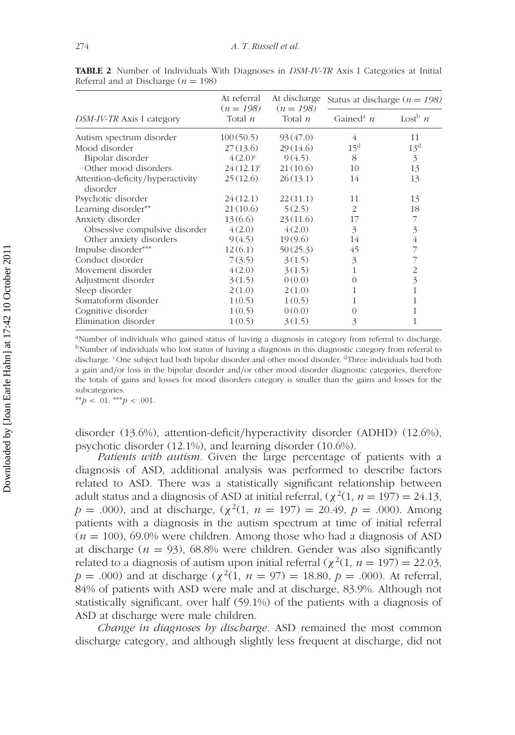|                                              | At referral<br>$(n = 198)$ | At discharge<br>$(n = 198)$ | Status at discharge $(n = 198)$ |                       |
|----------------------------------------------|----------------------------|-----------------------------|---------------------------------|-----------------------|
| <i>DSM-IV-TR</i> Axis I category             | Total $n$                  | Total $n$                   | Gained <sup>a</sup> $n$         | Lost <sup>b</sup> $n$ |
| Autism spectrum disorder                     | 100(50.5)                  | 93(47.0)                    | 4                               | 11                    |
| Mood disorder                                | 27(13.6)                   | 29(14.6)                    | 15 <sup>d</sup>                 | 13 <sup>d</sup>       |
| Bipolar disorder                             | $(2.0)^c$                  | 9(4.5)                      | 8                               | 3                     |
| Other mood disorders                         | $24(12.1)^c$               | 21(10.6)                    | 10                              | 13                    |
| Attention-deficity/hyperactivity<br>disorder | 25(12.6)                   | 26(13.1)                    | 14                              | 13                    |
| Psychotic disorder                           | 24(12.1)                   | 22(11.1)                    | 11                              | 13                    |
| Learning disorder**                          | 21(10.6)                   | 5(2.5)                      | 2                               | 18                    |
| Anxiety disorder                             | 13(6.6)                    | 23(11.6)                    | 17                              | 7                     |
| Obsessive compulsive disorder                | 4(2.0)                     | 4(2.0)                      | 3                               | 3                     |
| Other anxiety disorders                      | 9(4.5)                     | 19(9.6)                     | 14                              | 4                     |
| Impulse disorder***                          | 12(6.1)                    | 50(25.3)                    | 45                              |                       |
| Conduct disorder                             | 7(3.5)                     | 3(1.5)                      | 3                               |                       |
| Movement disorder                            | 4(2.0)                     | 3(1.5)                      | 1                               | 2                     |
| Adjustment disorder                          | 3(1.5)                     | 0(0.0)                      | 0                               | 3                     |
| Sleep disorder                               | 2(1.0)                     | 2(1.0)                      | 1                               | 1                     |
| Somatoform disorder                          | 1(0.5)                     | 1(0.5)                      |                                 | 1                     |
| Cognitive disorder                           | 1(0.5)                     | 0(0.0)                      | $\Omega$                        | 1                     |
| Elimination disorder                         | 1(0.5)                     | 3(1.5)                      | 3                               | 1                     |

**TABLE 2** Number of Individuals With Diagnoses in *DSM-IV-TR* Axis I Categories at Initial Referral and at Discharge ( $n = 198$ )

aNumber of individuals who gained status of having a diagnosis in category from referral to discharge. <sup>b</sup>Number of individuals who lost status of having a diagnosis in this diagnostic category from referral to discharge. COne subject had both bipolar disorder and other mood disorder. <sup>d</sup>Three individuals had both a gain and/or loss in the bipolar disorder and/or other mood disorder diagnostic categories, therefore the totals of gains and losses for mood disorders category is smaller than the gains and losses for the subcategories.

∗∗*p* < .01. ∗∗∗*p* < .001.

disorder (13.6%), attention-deficit/hyperactivity disorder (ADHD) (12.6%), psychotic disorder (12.1%), and learning disorder (10.6%).

*Patients with autism.* Given the large percentage of patients with a diagnosis of ASD, additional analysis was performed to describe factors related to ASD. There was a statistically significant relationship between adult status and a diagnosis of ASD at initial referral,  $(\chi^2(1, n = 197) = 24.13)$ ,  $p = .000$ , and at discharge,  $(\chi^2(1, n = 197) = 20.49, p = .000)$ . Among patients with a diagnosis in the autism spectrum at time of initial referral (*n* = 100), 69.0% were children. Among those who had a diagnosis of ASD at discharge  $(n = 93)$ , 68.8% were children. Gender was also significantly related to a diagnosis of autism upon initial referral  $(\chi^2(1, n = 197) = 22.03,$ *p* = .000) and at discharge ( $\chi^2(1, n = 97) = 18.80, p = .000$ ). At referral, 84% of patients with ASD were male and at discharge, 83.9%. Although not statistically significant, over half (59.1%) of the patients with a diagnosis of ASD at discharge were male children.

*Change in diagnoses by discharge.* ASD remained the most common discharge category, and although slightly less frequent at discharge, did not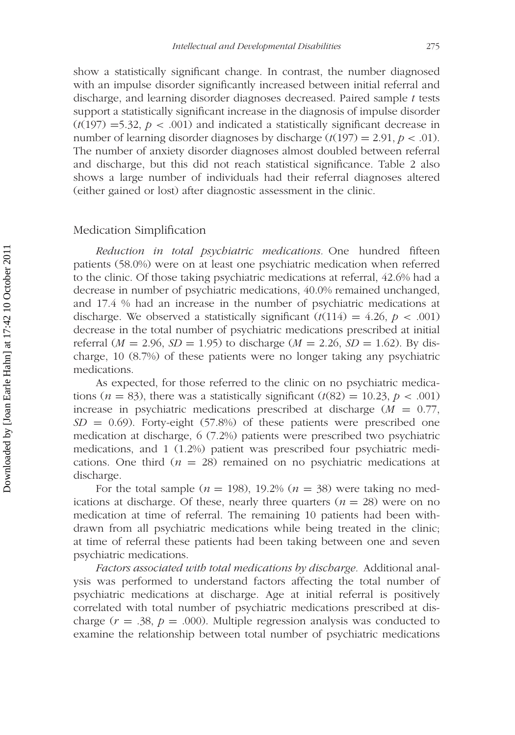show a statistically significant change. In contrast, the number diagnosed with an impulse disorder significantly increased between initial referral and discharge, and learning disorder diagnoses decreased. Paired sample *t* tests support a statistically significant increase in the diagnosis of impulse disorder  $(t(197) = 5.32, p < .001)$  and indicated a statistically significant decrease in number of learning disorder diagnoses by discharge  $(t(197) = 2.91, p < .01)$ . The number of anxiety disorder diagnoses almost doubled between referral and discharge, but this did not reach statistical significance. Table 2 also shows a large number of individuals had their referral diagnoses altered (either gained or lost) after diagnostic assessment in the clinic.

#### Medication Simplification

*Reduction in total psychiatric medications.* One hundred fifteen patients (58.0%) were on at least one psychiatric medication when referred to the clinic. Of those taking psychiatric medications at referral, 42.6% had a decrease in number of psychiatric medications, 40.0% remained unchanged, and 17.4 % had an increase in the number of psychiatric medications at discharge. We observed a statistically significant  $(t(114) = 4.26, p < .001)$ decrease in the total number of psychiatric medications prescribed at initial referral ( $M = 2.96$ ,  $SD = 1.95$ ) to discharge ( $M = 2.26$ ,  $SD = 1.62$ ). By discharge, 10 (8.7%) of these patients were no longer taking any psychiatric medications.

As expected, for those referred to the clinic on no psychiatric medications ( $n = 83$ ), there was a statistically significant ( $t(82) = 10.23$ ,  $p < .001$ ) increase in psychiatric medications prescribed at discharge (*M* = 0.77,  $SD = 0.69$ . Forty-eight (57.8%) of these patients were prescribed one medication at discharge, 6 (7.2%) patients were prescribed two psychiatric medications, and 1 (1.2%) patient was prescribed four psychiatric medications. One third  $(n = 28)$  remained on no psychiatric medications at discharge.

For the total sample  $(n = 198)$ , 19.2%  $(n = 38)$  were taking no medications at discharge. Of these, nearly three quarters  $(n = 28)$  were on no medication at time of referral. The remaining 10 patients had been withdrawn from all psychiatric medications while being treated in the clinic; at time of referral these patients had been taking between one and seven psychiatric medications.

*Factors associated with total medications by discharge.* Additional analysis was performed to understand factors affecting the total number of psychiatric medications at discharge. Age at initial referral is positively correlated with total number of psychiatric medications prescribed at discharge  $(r = .38, p = .000)$ . Multiple regression analysis was conducted to examine the relationship between total number of psychiatric medications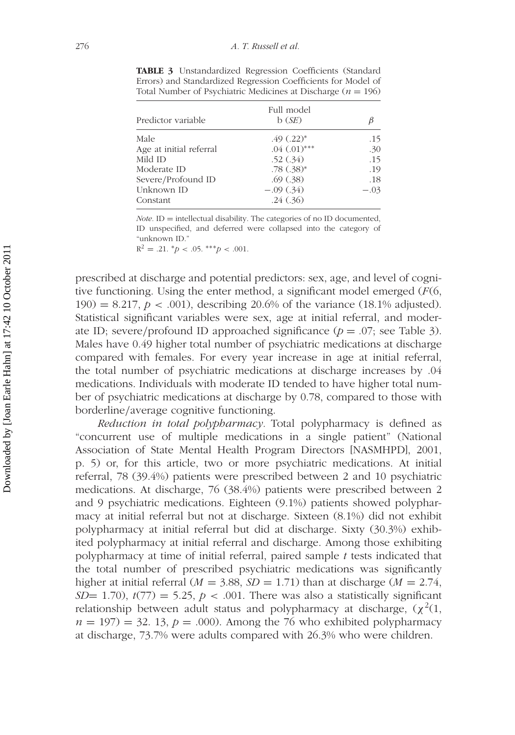| Predictor variable      | Full model<br>b(SE)        |        |  |
|-------------------------|----------------------------|--------|--|
| Male                    | $.49$ $(.22)$ <sup>*</sup> | .15    |  |
| Age at initial referral | $.04(.01)$ ***             | .30    |  |
| Mild ID                 | .52(.34)                   | .15    |  |
| Moderate ID             | $.78(.38)$ *               | .19    |  |
| Severe/Profound ID      | .69(.38)                   | .18    |  |
| Unknown ID              | $-.09(.34)$                | $-.03$ |  |
| Constant                | .24(.36)                   |        |  |
|                         |                            |        |  |

**TABLE 3** Unstandardized Regression Coefficients (Standard Errors) and Standardized Regression Coefficients for Model of Total Number of Psychiatric Medicines at Discharge (*n* = 196)

*Note.* ID = intellectual disability. The categories of no ID documented, ID unspecified, and deferred were collapsed into the category of "unknown ID."

 $R^2 = .21.$  *\*p* < .05. \*\*\**p* < .001.

prescribed at discharge and potential predictors: sex, age, and level of cognitive functioning. Using the enter method, a significant model emerged (*F*(6, 190) = 8.217,  $p < .001$ , describing 20.6% of the variance (18.1% adjusted). Statistical significant variables were sex, age at initial referral, and moderate ID; severe/profound ID approached significance  $(p = .07)$ ; see Table 3). Males have 0.49 higher total number of psychiatric medications at discharge compared with females. For every year increase in age at initial referral, the total number of psychiatric medications at discharge increases by .04 medications. Individuals with moderate ID tended to have higher total number of psychiatric medications at discharge by 0.78, compared to those with borderline/average cognitive functioning.

*Reduction in total polypharmacy.* Total polypharmacy is defined as "concurrent use of multiple medications in a single patient" (National Association of State Mental Health Program Directors [NASMHPD], 2001, p. 5) or, for this article, two or more psychiatric medications. At initial referral, 78 (39.4%) patients were prescribed between 2 and 10 psychiatric medications. At discharge, 76 (38.4%) patients were prescribed between 2 and 9 psychiatric medications. Eighteen (9.1%) patients showed polypharmacy at initial referral but not at discharge. Sixteen (8.1%) did not exhibit polypharmacy at initial referral but did at discharge. Sixty (30.3%) exhibited polypharmacy at initial referral and discharge. Among those exhibiting polypharmacy at time of initial referral, paired sample *t* tests indicated that the total number of prescribed psychiatric medications was significantly higher at initial referral ( $M = 3.88$ ,  $SD = 1.71$ ) than at discharge ( $M = 2.74$ , *SD*= 1.70),  $t(77)$  = 5.25,  $p < .001$ . There was also a statistically significant relationship between adult status and polypharmacy at discharge,  $(\chi^2(1,$  $n = 197$  = 32. 13,  $p = .000$ ). Among the 76 who exhibited polypharmacy at discharge, 73.7% were adults compared with 26.3% who were children.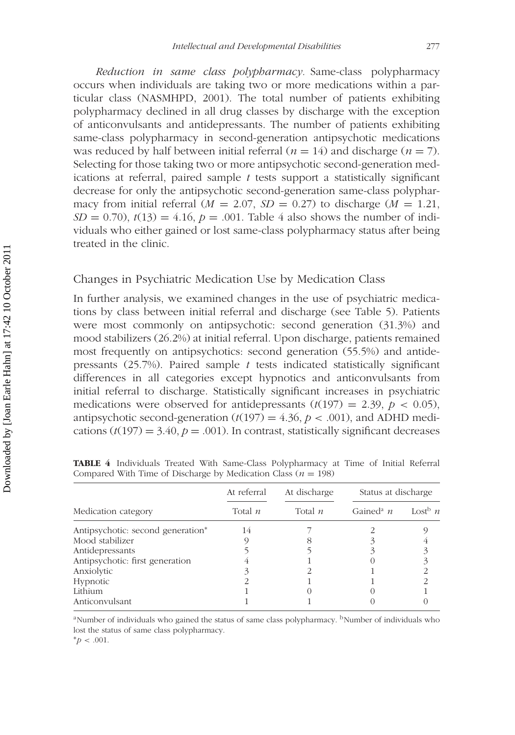*Reduction in same class polypharmacy.* Same-class polypharmacy occurs when individuals are taking two or more medications within a particular class (NASMHPD, 2001). The total number of patients exhibiting polypharmacy declined in all drug classes by discharge with the exception of anticonvulsants and antidepressants. The number of patients exhibiting same-class polypharmacy in second-generation antipsychotic medications was reduced by half between initial referral  $(n = 14)$  and discharge  $(n = 7)$ . Selecting for those taking two or more antipsychotic second-generation medications at referral, paired sample *t* tests support a statistically significant decrease for only the antipsychotic second-generation same-class polypharmacy from initial referral ( $M = 2.07$ ,  $SD = 0.27$ ) to discharge ( $M = 1.21$ ,  $SD = 0.70$ ,  $t(13) = 4.16$ ,  $p = .001$ . Table 4 also shows the number of individuals who either gained or lost same-class polypharmacy status after being treated in the clinic.

Changes in Psychiatric Medication Use by Medication Class

In further analysis, we examined changes in the use of psychiatric medications by class between initial referral and discharge (see Table 5). Patients were most commonly on antipsychotic: second generation (31.3%) and mood stabilizers (26.2%) at initial referral. Upon discharge, patients remained most frequently on antipsychotics: second generation (55.5%) and antidepressants (25.7%). Paired sample *t* tests indicated statistically significant differences in all categories except hypnotics and anticonvulsants from initial referral to discharge. Statistically significant increases in psychiatric medications were observed for antidepressants  $(t(197) = 2.39, p < 0.05)$ , antipsychotic second-generation  $(t(197) = 4.36, p < .001)$ , and ADHD medications  $(t(197) = 3.40, p = .001)$ . In contrast, statistically significant decreases

| Lost <sup>b</sup> $n$<br>Gained <sup>a</sup> $n$ |
|--------------------------------------------------|
|                                                  |
|                                                  |
|                                                  |
|                                                  |
|                                                  |
|                                                  |
|                                                  |
|                                                  |
|                                                  |

**TABLE 4** Individuals Treated With Same-Class Polypharmacy at Time of Initial Referral Compared With Time of Discharge by Medication Class  $(n = 198)$ 

<sup>a</sup>Number of individuals who gained the status of same class polypharmacy. <sup>b</sup>Number of individuals who lost the status of same class polypharmacy.

∗*p* < .001.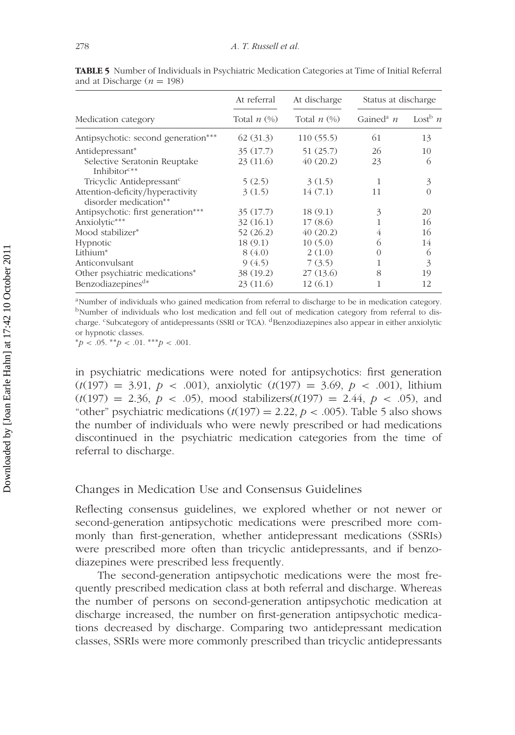|                                                           | At referral      | At discharge     | Status at discharge     |                       |
|-----------------------------------------------------------|------------------|------------------|-------------------------|-----------------------|
| Medication category                                       | Total $n$ $(\%)$ | Total $n$ $(\%)$ | Gained <sup>a</sup> $n$ | Lost <sup>b</sup> $n$ |
| Antipsychotic: second generation***                       | 62(31.3)         | 110(55.5)        | 61                      | 13                    |
| Antidepressant*                                           | 35(17.7)         | 51(25.7)         | 26                      | 10                    |
| Selective Seratonin Reuptake<br>Inhibitor $c***$          | 23(11.6)         | 40(20.2)         | 23                      | 6                     |
| Tricyclic Antidepressant <sup>c</sup>                     | 5(2.5)           | 3(1.5)           |                         | 3                     |
| Attention-deficity/hyperactivity<br>disorder medication** | 3(1.5)           | 14(7.1)          | 11                      | 0                     |
| Antipsychotic: first generation***                        | 35(17.7)         | 18(9.1)          | 3                       | 20                    |
| Anxiolytic***                                             | 32(16.1)         | 17(8.6)          |                         | 16                    |
| Mood stabilizer*                                          | 52(26.2)         | 40(20.2)         | 4                       | 16                    |
| Hypnotic                                                  | 18(9.1)          | 10(5.0)          | $\bigcirc$              | 14                    |
| Lithium <sup>*</sup>                                      | 8 (4.0)          | 2(1.0)           | $\left( \right)$        | 6                     |
| Anticonvulsant                                            | 9(4.5)           | 7(3.5)           |                         | 3                     |
| Other psychiatric medications*                            | 38 (19.2)        | 27(13.6)         | 8                       | 19                    |
| Benzodiazepines <sup>d*</sup>                             | 23(11.6)         | 12(6.1)          | 1                       | 12                    |

**TABLE 5** Number of Individuals in Psychiatric Medication Categories at Time of Initial Referral and at Discharge  $(n = 198)$ 

<sup>a</sup>Number of individuals who gained medication from referral to discharge to be in medication category. <sup>b</sup>Number of individuals who lost medication and fell out of medication category from referral to discharge. CSubcategory of antidepressants (SSRI or TCA). <sup>d</sup>Benzodiazepines also appear in either anxiolytic or hypnotic classes.

∗*p* < .05. ∗∗*p* < .01. ∗∗∗*p* < .001.

in psychiatric medications were noted for antipsychotics: first generation (*t*(197) = 3.91, *p* < .001), anxiolytic (*t*(197) = 3.69, *p* < .001), lithium  $(t(197) = 2.36, p < .05)$ , mood stabilizers $(t(197) = 2.44, p < .05)$ , and "other" psychiatric medications  $(t(197) = 2.22, p < .005)$ . Table 5 also shows the number of individuals who were newly prescribed or had medications discontinued in the psychiatric medication categories from the time of referral to discharge.

#### Changes in Medication Use and Consensus Guidelines

Reflecting consensus guidelines, we explored whether or not newer or second-generation antipsychotic medications were prescribed more commonly than first-generation, whether antidepressant medications (SSRIs) were prescribed more often than tricyclic antidepressants, and if benzodiazepines were prescribed less frequently.

The second-generation antipsychotic medications were the most frequently prescribed medication class at both referral and discharge. Whereas the number of persons on second-generation antipsychotic medication at discharge increased, the number on first-generation antipsychotic medications decreased by discharge. Comparing two antidepressant medication classes, SSRIs were more commonly prescribed than tricyclic antidepressants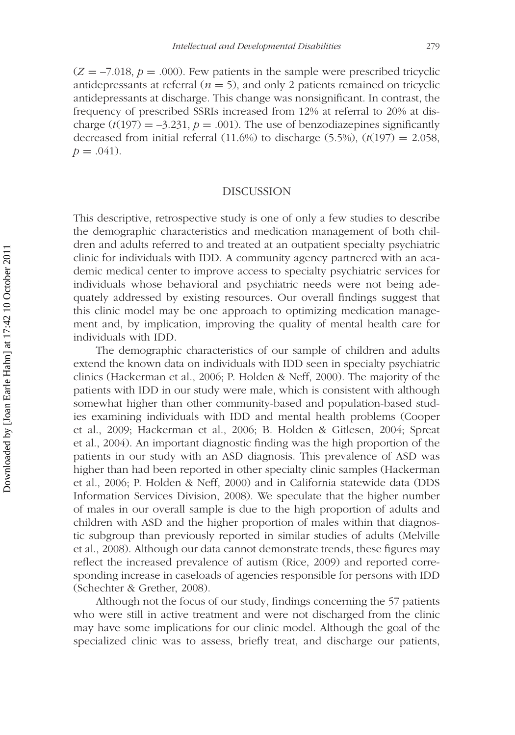$(Z = -7.018, p = .000)$ . Few patients in the sample were prescribed tricyclic antidepressants at referral ( $n = 5$ ), and only 2 patients remained on tricyclic antidepressants at discharge. This change was nonsignificant. In contrast, the frequency of prescribed SSRIs increased from 12% at referral to 20% at discharge  $(t(197) = -3.231, p = .001)$ . The use of benzodiazepines significantly decreased from initial referral  $(11.6%)$  to discharge  $(5.5%), (t(197) = 2.058,$  $p = .041$ .

#### DISCUSSION

This descriptive, retrospective study is one of only a few studies to describe the demographic characteristics and medication management of both children and adults referred to and treated at an outpatient specialty psychiatric clinic for individuals with IDD. A community agency partnered with an academic medical center to improve access to specialty psychiatric services for individuals whose behavioral and psychiatric needs were not being adequately addressed by existing resources. Our overall findings suggest that this clinic model may be one approach to optimizing medication management and, by implication, improving the quality of mental health care for individuals with IDD.

The demographic characteristics of our sample of children and adults extend the known data on individuals with IDD seen in specialty psychiatric clinics (Hackerman et al., 2006; P. Holden & Neff, 2000). The majority of the patients with IDD in our study were male, which is consistent with although somewhat higher than other community-based and population-based studies examining individuals with IDD and mental health problems (Cooper et al., 2009; Hackerman et al., 2006; B. Holden & Gitlesen, 2004; Spreat et al., 2004). An important diagnostic finding was the high proportion of the patients in our study with an ASD diagnosis. This prevalence of ASD was higher than had been reported in other specialty clinic samples (Hackerman et al., 2006; P. Holden & Neff, 2000) and in California statewide data (DDS Information Services Division, 2008). We speculate that the higher number of males in our overall sample is due to the high proportion of adults and children with ASD and the higher proportion of males within that diagnostic subgroup than previously reported in similar studies of adults (Melville et al., 2008). Although our data cannot demonstrate trends, these figures may reflect the increased prevalence of autism (Rice, 2009) and reported corresponding increase in caseloads of agencies responsible for persons with IDD (Schechter & Grether, 2008).

Although not the focus of our study, findings concerning the 57 patients who were still in active treatment and were not discharged from the clinic may have some implications for our clinic model. Although the goal of the specialized clinic was to assess, briefly treat, and discharge our patients,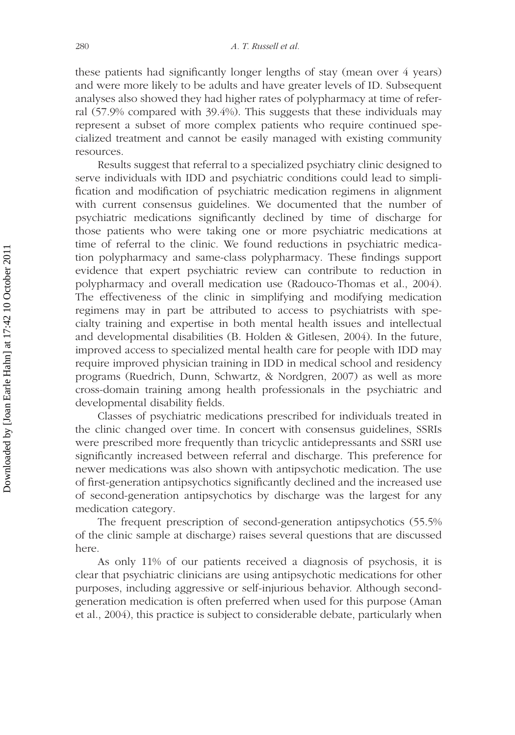these patients had significantly longer lengths of stay (mean over 4 years) and were more likely to be adults and have greater levels of ID. Subsequent analyses also showed they had higher rates of polypharmacy at time of referral (57.9% compared with 39.4%). This suggests that these individuals may represent a subset of more complex patients who require continued specialized treatment and cannot be easily managed with existing community resources.

Results suggest that referral to a specialized psychiatry clinic designed to serve individuals with IDD and psychiatric conditions could lead to simplification and modification of psychiatric medication regimens in alignment with current consensus guidelines. We documented that the number of psychiatric medications significantly declined by time of discharge for those patients who were taking one or more psychiatric medications at time of referral to the clinic. We found reductions in psychiatric medication polypharmacy and same-class polypharmacy. These findings support evidence that expert psychiatric review can contribute to reduction in polypharmacy and overall medication use (Radouco-Thomas et al., 2004). The effectiveness of the clinic in simplifying and modifying medication regimens may in part be attributed to access to psychiatrists with specialty training and expertise in both mental health issues and intellectual and developmental disabilities (B. Holden & Gitlesen, 2004). In the future, improved access to specialized mental health care for people with IDD may require improved physician training in IDD in medical school and residency programs (Ruedrich, Dunn, Schwartz, & Nordgren, 2007) as well as more cross-domain training among health professionals in the psychiatric and developmental disability fields.

Classes of psychiatric medications prescribed for individuals treated in the clinic changed over time. In concert with consensus guidelines, SSRIs were prescribed more frequently than tricyclic antidepressants and SSRI use significantly increased between referral and discharge. This preference for newer medications was also shown with antipsychotic medication. The use of first-generation antipsychotics significantly declined and the increased use of second-generation antipsychotics by discharge was the largest for any medication category.

The frequent prescription of second-generation antipsychotics (55.5% of the clinic sample at discharge) raises several questions that are discussed here.

As only 11% of our patients received a diagnosis of psychosis, it is clear that psychiatric clinicians are using antipsychotic medications for other purposes, including aggressive or self-injurious behavior. Although secondgeneration medication is often preferred when used for this purpose (Aman et al., 2004), this practice is subject to considerable debate, particularly when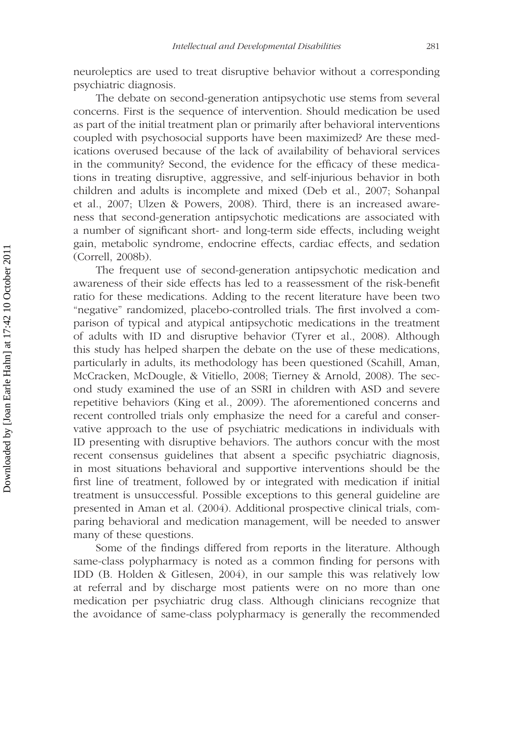neuroleptics are used to treat disruptive behavior without a corresponding psychiatric diagnosis.

The debate on second-generation antipsychotic use stems from several concerns. First is the sequence of intervention. Should medication be used as part of the initial treatment plan or primarily after behavioral interventions coupled with psychosocial supports have been maximized? Are these medications overused because of the lack of availability of behavioral services in the community? Second, the evidence for the efficacy of these medications in treating disruptive, aggressive, and self-injurious behavior in both children and adults is incomplete and mixed (Deb et al., 2007; Sohanpal et al., 2007; Ulzen & Powers, 2008). Third, there is an increased awareness that second-generation antipsychotic medications are associated with a number of significant short- and long-term side effects, including weight gain, metabolic syndrome, endocrine effects, cardiac effects, and sedation (Correll, 2008b).

The frequent use of second-generation antipsychotic medication and awareness of their side effects has led to a reassessment of the risk-benefit ratio for these medications. Adding to the recent literature have been two "negative" randomized, placebo-controlled trials. The first involved a comparison of typical and atypical antipsychotic medications in the treatment of adults with ID and disruptive behavior (Tyrer et al., 2008). Although this study has helped sharpen the debate on the use of these medications, particularly in adults, its methodology has been questioned (Scahill, Aman, McCracken, McDougle, & Vitiello, 2008; Tierney & Arnold, 2008). The second study examined the use of an SSRI in children with ASD and severe repetitive behaviors (King et al., 2009). The aforementioned concerns and recent controlled trials only emphasize the need for a careful and conservative approach to the use of psychiatric medications in individuals with ID presenting with disruptive behaviors. The authors concur with the most recent consensus guidelines that absent a specific psychiatric diagnosis, in most situations behavioral and supportive interventions should be the first line of treatment, followed by or integrated with medication if initial treatment is unsuccessful. Possible exceptions to this general guideline are presented in Aman et al. (2004). Additional prospective clinical trials, comparing behavioral and medication management, will be needed to answer many of these questions.

Some of the findings differed from reports in the literature. Although same-class polypharmacy is noted as a common finding for persons with IDD (B. Holden & Gitlesen, 2004), in our sample this was relatively low at referral and by discharge most patients were on no more than one medication per psychiatric drug class. Although clinicians recognize that the avoidance of same-class polypharmacy is generally the recommended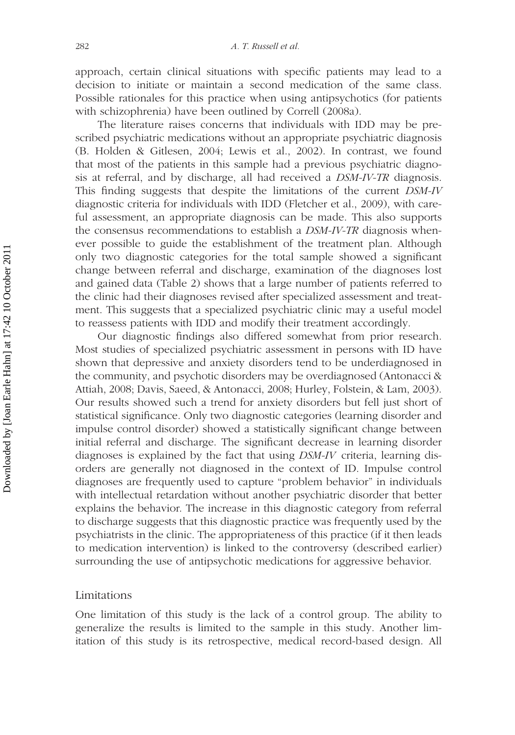approach, certain clinical situations with specific patients may lead to a decision to initiate or maintain a second medication of the same class. Possible rationales for this practice when using antipsychotics (for patients with schizophrenia) have been outlined by Correll (2008a).

The literature raises concerns that individuals with IDD may be prescribed psychiatric medications without an appropriate psychiatric diagnosis (B. Holden & Gitlesen, 2004; Lewis et al., 2002). In contrast, we found that most of the patients in this sample had a previous psychiatric diagnosis at referral, and by discharge, all had received a *DSM-IV-TR* diagnosis. This finding suggests that despite the limitations of the current *DSM-IV* diagnostic criteria for individuals with IDD (Fletcher et al., 2009), with careful assessment, an appropriate diagnosis can be made. This also supports the consensus recommendations to establish a *DSM-IV-TR* diagnosis whenever possible to guide the establishment of the treatment plan. Although only two diagnostic categories for the total sample showed a significant change between referral and discharge, examination of the diagnoses lost and gained data (Table 2) shows that a large number of patients referred to the clinic had their diagnoses revised after specialized assessment and treatment. This suggests that a specialized psychiatric clinic may a useful model to reassess patients with IDD and modify their treatment accordingly.

Our diagnostic findings also differed somewhat from prior research. Most studies of specialized psychiatric assessment in persons with ID have shown that depressive and anxiety disorders tend to be underdiagnosed in the community, and psychotic disorders may be overdiagnosed (Antonacci & Attiah, 2008; Davis, Saeed, & Antonacci, 2008; Hurley, Folstein, & Lam, 2003). Our results showed such a trend for anxiety disorders but fell just short of statistical significance. Only two diagnostic categories (learning disorder and impulse control disorder) showed a statistically significant change between initial referral and discharge. The significant decrease in learning disorder diagnoses is explained by the fact that using *DSM-IV* criteria, learning disorders are generally not diagnosed in the context of ID. Impulse control diagnoses are frequently used to capture "problem behavior" in individuals with intellectual retardation without another psychiatric disorder that better explains the behavior. The increase in this diagnostic category from referral to discharge suggests that this diagnostic practice was frequently used by the psychiatrists in the clinic. The appropriateness of this practice (if it then leads to medication intervention) is linked to the controversy (described earlier) surrounding the use of antipsychotic medications for aggressive behavior.

#### Limitations

One limitation of this study is the lack of a control group. The ability to generalize the results is limited to the sample in this study. Another limitation of this study is its retrospective, medical record-based design. All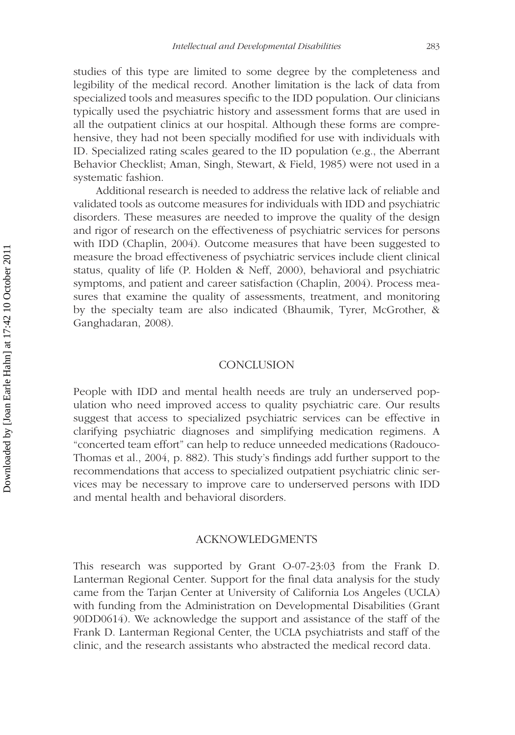studies of this type are limited to some degree by the completeness and legibility of the medical record. Another limitation is the lack of data from specialized tools and measures specific to the IDD population. Our clinicians typically used the psychiatric history and assessment forms that are used in all the outpatient clinics at our hospital. Although these forms are comprehensive, they had not been specially modified for use with individuals with ID. Specialized rating scales geared to the ID population (e.g., the Aberrant Behavior Checklist; Aman, Singh, Stewart, & Field, 1985) were not used in a systematic fashion.

Additional research is needed to address the relative lack of reliable and validated tools as outcome measures for individuals with IDD and psychiatric disorders. These measures are needed to improve the quality of the design and rigor of research on the effectiveness of psychiatric services for persons with IDD (Chaplin, 2004). Outcome measures that have been suggested to measure the broad effectiveness of psychiatric services include client clinical status, quality of life (P. Holden & Neff, 2000), behavioral and psychiatric symptoms, and patient and career satisfaction (Chaplin, 2004). Process measures that examine the quality of assessments, treatment, and monitoring by the specialty team are also indicated (Bhaumik, Tyrer, McGrother, & Ganghadaran, 2008).

#### **CONCLUSION**

People with IDD and mental health needs are truly an underserved population who need improved access to quality psychiatric care. Our results suggest that access to specialized psychiatric services can be effective in clarifying psychiatric diagnoses and simplifying medication regimens. A "concerted team effort" can help to reduce unneeded medications (Radouco-Thomas et al., 2004, p. 882). This study's findings add further support to the recommendations that access to specialized outpatient psychiatric clinic services may be necessary to improve care to underserved persons with IDD and mental health and behavioral disorders.

#### ACKNOWLEDGMENTS

This research was supported by Grant O-07-23:03 from the Frank D. Lanterman Regional Center. Support for the final data analysis for the study came from the Tarjan Center at University of California Los Angeles (UCLA) with funding from the Administration on Developmental Disabilities (Grant 90DD0614). We acknowledge the support and assistance of the staff of the Frank D. Lanterman Regional Center, the UCLA psychiatrists and staff of the clinic, and the research assistants who abstracted the medical record data.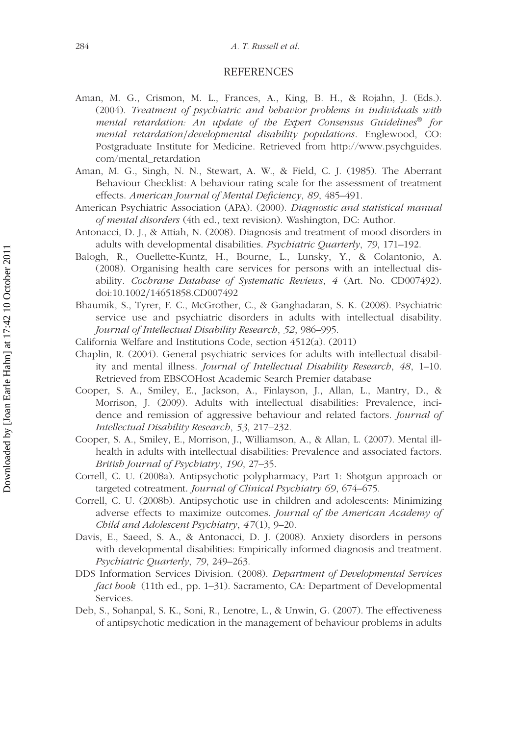#### REFERENCES

- Aman, M. G., Crismon, M. L., Frances, A., King, B. H., & Rojahn, J. (Eds.). (2004). *Treatment of psychiatric and behavior problems in individuals with mental retardation: An update of the Expert Consensus Guidelines® for mental retardation*/*developmental disability populations*. Englewood, CO: Postgraduate Institute for Medicine. Retrieved from http://www.psychguides. com/mental\_retardation
- Aman, M. G., Singh, N. N., Stewart, A. W., & Field, C. J. (1985). The Aberrant Behaviour Checklist: A behaviour rating scale for the assessment of treatment effects. *American Journal of Mental Deficiency*, *89*, 485–491.
- American Psychiatric Association (APA). (2000). *Diagnostic and statistical manual of mental disorders* (4th ed., text revision). Washington, DC: Author.
- Antonacci, D. J., & Attiah, N. (2008). Diagnosis and treatment of mood disorders in adults with developmental disabilities. *Psychiatric Quarterly*, *79*, 171–192.
- Balogh, R., Ouellette-Kuntz, H., Bourne, L., Lunsky, Y., & Colantonio, A. (2008). Organising health care services for persons with an intellectual disability. *Cochrane Database of Systematic Reviews*, *4* (Art. No. CD007492). doi:10.1002/14651858.CD007492
- Bhaumik, S., Tyrer, F. C., McGrother, C., & Ganghadaran, S. K. (2008). Psychiatric service use and psychiatric disorders in adults with intellectual disability. *Journal of Intellectual Disability Research*, *52*, 986–995.
- California Welfare and Institutions Code, section 4512(a). (2011)
- Chaplin, R. (2004). General psychiatric services for adults with intellectual disability and mental illness. *Journal of Intellectual Disability Research*, *48*, 1–10. Retrieved from EBSCOHost Academic Search Premier database
- Cooper, S. A., Smiley, E., Jackson, A., Finlayson, J., Allan, L., Mantry, D., & Morrison, J. (2009). Adults with intellectual disabilities: Prevalence, incidence and remission of aggressive behaviour and related factors. *Journal of Intellectual Disability Research*, *53*, 217–232.
- Cooper, S. A., Smiley, E., Morrison, J., Williamson, A., & Allan, L. (2007). Mental illhealth in adults with intellectual disabilities: Prevalence and associated factors. *British Journal of Psychiatry*, *190*, 27–35.
- Correll, C. U. (2008a). Antipsychotic polypharmacy, Part 1: Shotgun approach or targeted cotreatment. *Journal of Clinical Psychiatry 69*, 674–675.
- Correll, C. U. (2008b). Antipsychotic use in children and adolescents: Minimizing adverse effects to maximize outcomes. *Journal of the American Academy of Child and Adolescent Psychiatry*, *47*(1), 9–20.
- Davis, E., Saeed, S. A., & Antonacci, D. J. (2008). Anxiety disorders in persons with developmental disabilities: Empirically informed diagnosis and treatment. *Psychiatric Quarterly*, *79*, 249–263.
- DDS Information Services Division. (2008). *Department of Developmental Services fact book* (11th ed., pp. 1–31). Sacramento, CA: Department of Developmental Services.
- Deb, S., Sohanpal, S. K., Soni, R., Lenotre, L., & Unwin, G. (2007). The effectiveness of antipsychotic medication in the management of behaviour problems in adults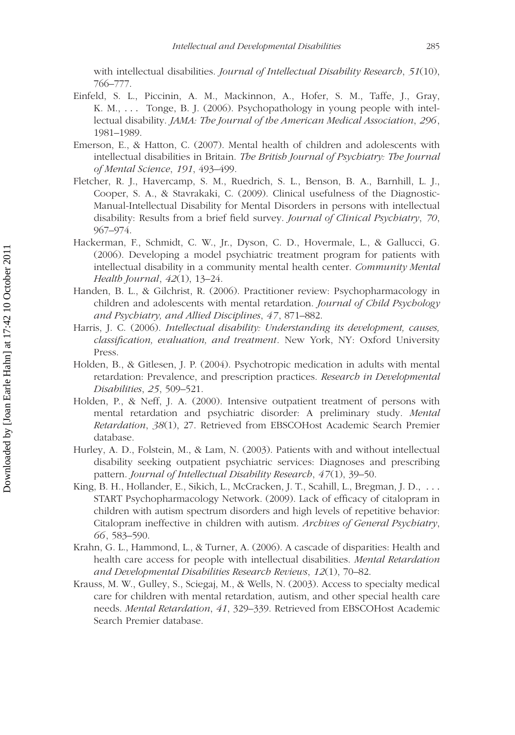with intellectual disabilities. *Journal of Intellectual Disability Research*, *51*(10), 766–777.

- Einfeld, S. L., Piccinin, A. M., Mackinnon, A., Hofer, S. M., Taffe, J., Gray, K. M., ... Tonge, B. J. (2006). Psychopathology in young people with intellectual disability. *JAMA: The Journal of the American Medical Association*, *296*, 1981–1989.
- Emerson, E., & Hatton, C. (2007). Mental health of children and adolescents with intellectual disabilities in Britain. *The British Journal of Psychiatry: The Journal of Mental Science*, *191*, 493–499.
- Fletcher, R. J., Havercamp, S. M., Ruedrich, S. L., Benson, B. A., Barnhill, L. J., Cooper, S. A., & Stavrakaki, C. (2009). Clinical usefulness of the Diagnostic-Manual-Intellectual Disability for Mental Disorders in persons with intellectual disability: Results from a brief field survey. *Journal of Clinical Psychiatry*, *70*, 967–974.
- Hackerman, F., Schmidt, C. W., Jr., Dyson, C. D., Hovermale, L., & Gallucci, G. (2006). Developing a model psychiatric treatment program for patients with intellectual disability in a community mental health center. *Community Mental Health Journal*, *42*(1), 13–24.
- Handen, B. L., & Gilchrist, R. (2006). Practitioner review: Psychopharmacology in children and adolescents with mental retardation. *Journal of Child Psychology and Psychiatry, and Allied Disciplines*, *47*, 871–882.
- Harris, J. C. (2006). *Intellectual disability: Understanding its development, causes, classification, evaluation, and treatment*. New York, NY: Oxford University Press.
- Holden, B., & Gitlesen, J. P. (2004). Psychotropic medication in adults with mental retardation: Prevalence, and prescription practices. *Research in Developmental Disabilities*, *25*, 509–521.
- Holden, P., & Neff, J. A. (2000). Intensive outpatient treatment of persons with mental retardation and psychiatric disorder: A preliminary study. *Mental Retardation*, *38*(1), 27. Retrieved from EBSCOHost Academic Search Premier database.
- Hurley, A. D., Folstein, M., & Lam, N. (2003). Patients with and without intellectual disability seeking outpatient psychiatric services: Diagnoses and prescribing pattern. *Journal of Intellectual Disability Research*, *47*(1), 39–50.
- King, B. H., Hollander, E., Sikich, L., McCracken, J. T., Scahill, L., Bregman, J. D., ... START Psychopharmacology Network. (2009). Lack of efficacy of citalopram in children with autism spectrum disorders and high levels of repetitive behavior: Citalopram ineffective in children with autism. *Archives of General Psychiatry*, *66*, 583–590.
- Krahn, G. L., Hammond, L., & Turner, A. (2006). A cascade of disparities: Health and health care access for people with intellectual disabilities. *Mental Retardation and Developmental Disabilities Research Reviews*, *12*(1), 70–82.
- Krauss, M. W., Gulley, S., Sciegaj, M., & Wells, N. (2003). Access to specialty medical care for children with mental retardation, autism, and other special health care needs. *Mental Retardation*, *41*, 329–339. Retrieved from EBSCOHost Academic Search Premier database.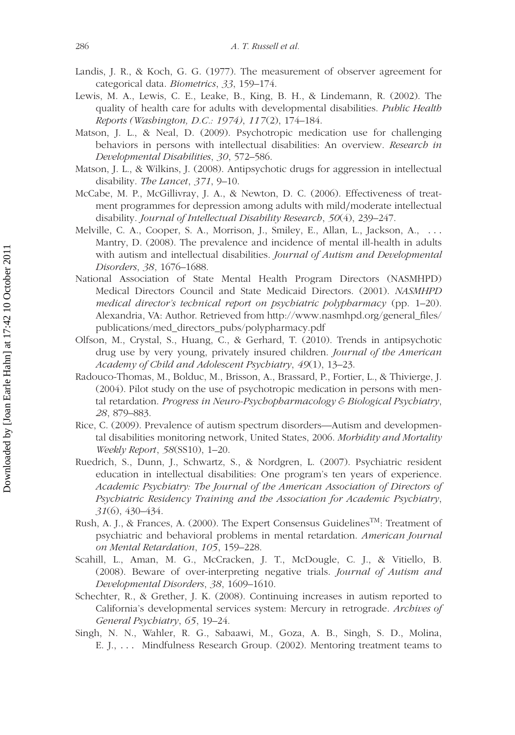- Landis, J. R., & Koch, G. G. (1977). The measurement of observer agreement for categorical data. *Biometrics*, *33*, 159–174.
- Lewis, M. A., Lewis, C. E., Leake, B., King, B. H., & Lindemann, R. (2002). The quality of health care for adults with developmental disabilities. *Public Health Reports (Washington, D.C.: 1974)*, *117*(2), 174–184.
- Matson, J. L., & Neal, D. (2009). Psychotropic medication use for challenging behaviors in persons with intellectual disabilities: An overview. *Research in Developmental Disabilities*, *30*, 572–586.
- Matson, J. L., & Wilkins, J. (2008). Antipsychotic drugs for aggression in intellectual disability. *The Lancet*, *371*, 9–10.
- McCabe, M. P., McGillivray, J. A., & Newton, D. C. (2006). Effectiveness of treatment programmes for depression among adults with mild/moderate intellectual disability. *Journal of Intellectual Disability Research*, *50*(4), 239–247.
- Melville, C. A., Cooper, S. A., Morrison, J., Smiley, E., Allan, L., Jackson, A., ... Mantry, D. (2008). The prevalence and incidence of mental ill-health in adults with autism and intellectual disabilities. *Journal of Autism and Developmental Disorders*, *38*, 1676–1688.
- National Association of State Mental Health Program Directors (NASMHPD) Medical Directors Council and State Medicaid Directors. (2001). *NASMHPD medical director's technical report on psychiatric polypharmacy* (pp. 1–20). Alexandria, VA: Author. Retrieved from http://www.nasmhpd.org/general\_files/ publications/med\_directors\_pubs/polypharmacy.pdf
- Olfson, M., Crystal, S., Huang, C., & Gerhard, T. (2010). Trends in antipsychotic drug use by very young, privately insured children. *Journal of the American Academy of Child and Adolescent Psychiatry*, *49*(1), 13–23.
- Radouco-Thomas, M., Bolduc, M., Brisson, A., Brassard, P., Fortier, L., & Thivierge, J. (2004). Pilot study on the use of psychotropic medication in persons with mental retardation. *Progress in Neuro-Psychopharmacology & Biological Psychiatry*, *28*, 879–883.
- Rice, C. (2009). Prevalence of autism spectrum disorders—Autism and developmental disabilities monitoring network, United States, 2006. *Morbidity and Mortality Weekly Report*, *58*(SS10), 1–20.
- Ruedrich, S., Dunn, J., Schwartz, S., & Nordgren, L. (2007). Psychiatric resident education in intellectual disabilities: One program's ten years of experience. *Academic Psychiatry: The Journal of the American Association of Directors of Psychiatric Residency Training and the Association for Academic Psychiatry*, *31*(6), 430–434.
- Rush, A. J., & Frances, A. (2000). The Expert Consensus Guidelines<sup>TM</sup>: Treatment of psychiatric and behavioral problems in mental retardation. *American Journal on Mental Retardation*, *105*, 159–228.
- Scahill, L., Aman, M. G., McCracken, J. T., McDougle, C. J., & Vitiello, B. (2008). Beware of over-interpreting negative trials. *Journal of Autism and Developmental Disorders*, *38*, 1609–1610.
- Schechter, R., & Grether, J. K. (2008). Continuing increases in autism reported to California's developmental services system: Mercury in retrograde. *Archives of General Psychiatry*, *65*, 19–24.
- Singh, N. N., Wahler, R. G., Sabaawi, M., Goza, A. B., Singh, S. D., Molina, E. J., ... Mindfulness Research Group. (2002). Mentoring treatment teams to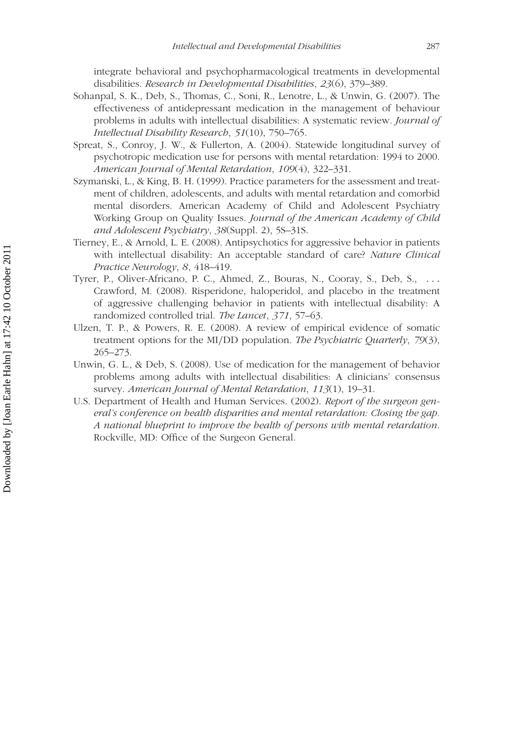integrate behavioral and psychopharmacological treatments in developmental disabilities. *Research in Developmental Disabilities*, *23*(6), 379–389.

- Sohanpal, S. K., Deb, S., Thomas, C., Soni, R., Lenotre, L., & Unwin, G. (2007). The effectiveness of antidepressant medication in the management of behaviour problems in adults with intellectual disabilities: A systematic review. *Journal of Intellectual Disability Research*, *51*(10), 750–765.
- Spreat, S., Conroy, J. W., & Fullerton, A. (2004). Statewide longitudinal survey of psychotropic medication use for persons with mental retardation: 1994 to 2000. *American Journal of Mental Retardation*, *109*(4), 322–331.
- Szymanski, L., & King, B. H. (1999). Practice parameters for the assessment and treatment of children, adolescents, and adults with mental retardation and comorbid mental disorders. American Academy of Child and Adolescent Psychiatry Working Group on Quality Issues. *Journal of the American Academy of Child and Adolescent Psychiatry*, *38*(Suppl. 2), 5S–31S.
- Tierney, E., & Arnold, L. E. (2008). Antipsychotics for aggressive behavior in patients with intellectual disability: An acceptable standard of care? *Nature Clinical Practice Neurology*, *8*, 418–419.
- Tyrer, P., Oliver-Africano, P. C., Ahmed, Z., Bouras, N., Cooray, S., Deb, S., ... Crawford, M. (2008). Risperidone, haloperidol, and placebo in the treatment of aggressive challenging behavior in patients with intellectual disability: A randomized controlled trial. *The Lancet*, *371*, 57–63.
- Ulzen, T. P., & Powers, R. E. (2008). A review of empirical evidence of somatic treatment options for the MI/DD population. *The Psychiatric Quarterly*, *79*(3), 265–273.
- Unwin, G. L., & Deb, S. (2008). Use of medication for the management of behavior problems among adults with intellectual disabilities: A clinicians' consensus survey. *American Journal of Mental Retardation*, *113*(1), 19–31.
- U.S. Department of Health and Human Services. (2002). *Report of the surgeon general's conference on health disparities and mental retardation: Closing the gap. A national blueprint to improve the health of persons with mental retardation*. Rockville, MD: Office of the Surgeon General.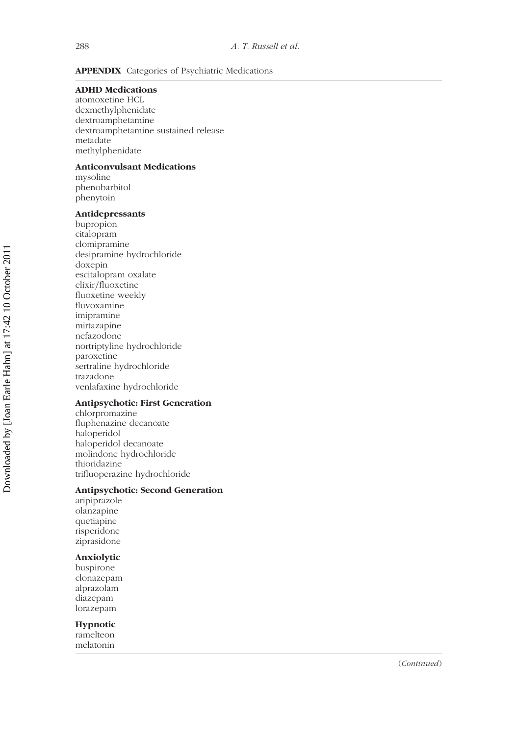#### **APPENDIX** Categories of Psychiatric Medications

#### **ADHD Medications**

atomoxetine HCL dexmethylphenidate dextroamphetamine dextroamphetamine sustained release metadate methylphenidate

#### **Anticonvulsant Medications**

mysoline phenobarbitol phenytoin

#### **Antidepressants**

bupropion citalopram clomipramine desipramine hydrochloride doxepin escitalopram oxalate elixir/fluoxetine fluoxetine weekly fluvoxamine imipramine mirtazapine nefazodone nortriptyline hydrochloride paroxetine sertraline hydrochloride trazadone venlafaxine hydrochloride

#### **Antipsychotic: First Generation**

chlorpromazine fluphenazine decanoate haloperidol haloperidol decanoate molindone hydrochloride thioridazine trifluoperazine hydrochloride

#### **Antipsychotic: Second Generation**

aripiprazole olanzapine quetiapine risperidone ziprasidone

#### **Anxiolytic**

buspirone clonazepam alprazolam diazepam lorazepam

#### **Hypnotic**

ramelteon melatonin